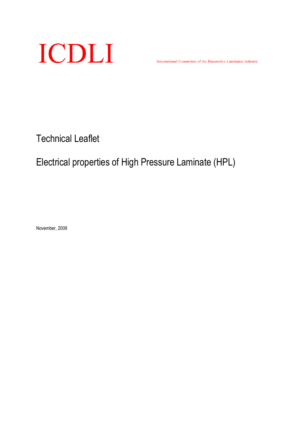

International Committee of the Decorative Laminates Industry

Technical Leaflet

# Electrical properties of High Pressure Laminate (HPL)

November, 2009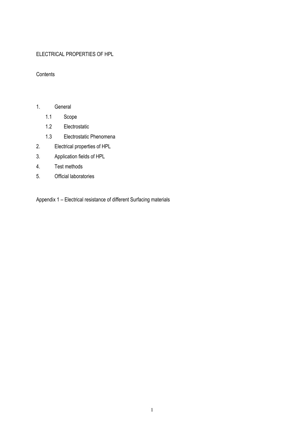# ELECTRICAL PROPERTIES OF HPL

## **Contents**

# 1. General

- 1.1 Scope
- 1.2 Electrostatic
- 1.3 Electrostatic Phenomena
- 2. Electrical properties of HPL
- 3. Application fields of HPL
- 4. Test methods
- 5. Official laboratories

Appendix 1 – Electrical resistance of different Surfacing materials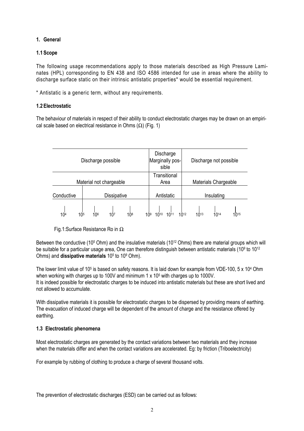# 1. General

## 1.1 Scope

The following usage recommendations apply to those materials described as High Pressure Laminates (HPL) corresponding to EN 438 and ISO 4586 intended for use in areas where the ability to discharge surface static on their intrinsic antistatic properties\* would be essential requirement.

\* Antistatic is a generic term, without any requirements.

#### 1.2 Electrostatic

The behaviour of materials in respect of their ability to conduct electrostatic charges may be drawn on an empirical scale based on electrical resistance in Ohms  $(\Omega)$  (Fig. 1)

| Discharge possible      | Marginally pos- | Discharge<br>sible   |                 | Discharge not possible      |  |            |           |            |           |      |  |  |  |
|-------------------------|-----------------|----------------------|-----------------|-----------------------------|--|------------|-----------|------------|-----------|------|--|--|--|
| Material not chargeable |                 | Transitional<br>Area |                 | <b>Materials Chargeable</b> |  |            |           |            |           |      |  |  |  |
| Conductive              |                 | <b>Dissipative</b>   |                 |                             |  | Antistatic |           | Insulating |           |      |  |  |  |
| 10 <sup>4</sup><br>105  | 106             | 10 <sup>7</sup>      | 10 <sup>8</sup> | 109                         |  | 1011       | $10^{12}$ | $10^{13}$  | $10^{14}$ | 1015 |  |  |  |

#### Fig.1:Surface Resistance Ro in Ω

Between the conductive (10<sup>5</sup> Ohm) and the insulative materials (10<sup>12</sup> Ohms) there are material groups which will be suitable for a particular usage area, One can therefore distinguish between antistatic materials (10º to 1012 Ohms) and **dissipative materials** 10<sup>5</sup> to 10<sup>9</sup> Ohm).

The lower limit value of 10<sup>5</sup> is based on safety reasons. It is laid down for example from VDE-100, 5 x 10<sup>4</sup> Ohm when working with charges up to 100V and minimum 1 x 10<sup>5</sup> with charges up to 1000V. It is indeed possible for electrostatic charges to be induced into antistatic materials but these are short lived and not allowed to accumulate.

With dissipative materials it is possible for electrostatic charges to be dispersed by providing means of earthing. The evacuation of induced charge will be dependent of the amount of charge and the resistance offered by earthing.

#### 1.3 Electrostatic phenomena

Most electrostatic charges are generated by the contact variations between two materials and they increase when the materials differ and when the contact variations are accelerated. Eg: by friction (Triboelectricity)

For example by rubbing of clothing to produce a charge of several thousand volts.

The prevention of electrostatic discharges (ESD) can be carried out as follows: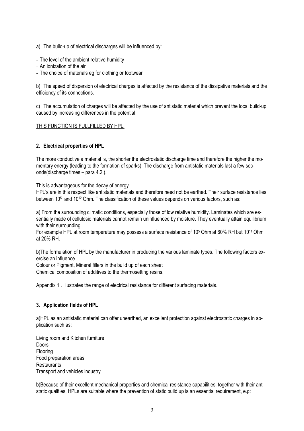- a) The build-up of electrical discharges will be influenced by:
- The level of the ambient relative humidity
- An ionization of the air
- The choice of materials eg for clothing or footwear

b) The speed of dispersion of electrical charges is affected by the resistance of the dissipative materials and the efficiency of its connections.

c) The accumulation of charges will be affected by the use of antistatic material which prevent the local build-up caused by increasing differences in the potential.

#### THIS FUNCTION IS FULLFILLED BY HPL.

#### 2. Electrical properties of HPL

The more conductive a material is, the shorter the electrostatic discharge time and therefore the higher the momentary energy (leading to the formation of sparks). The discharge from antistatic materials last a few seconds(discharge times – para 4.2.).

This is advantageous for the decay of energy.

HPL's are in this respect like antistatic materials and therefore need not be earthed. Their surface resistance lies between 10<sup>5</sup> and 10<sup>12</sup> Ohm. The classification of these values depends on various factors, such as:

a) From the surrounding climatic conditions, especially those of low relative humidity. Laminates which are essentially made of cellulosic materials cannot remain uninfluenced by moisture. They eventually attain equilibrium with their surrounding.

For example HPL at room temperature may possess a surface resistance of 10<sup>5</sup> Ohm at 60% RH but 10<sup>11</sup> Ohm at 20% RH.

b)The formulation of HPL by the manufacturer in producing the various laminate types. The following factors exercise an influence.

Colour or Pigment, Mineral fillers in the build up of each sheet

Chemical composition of additives to the thermosetting resins.

Appendix 1 . Illustrates the range of electrical resistance for different surfacing materials.

#### 3. Application fields of HPL

a)HPL as an antistatic material can offer unearthed, an excellent protection against electrostatic charges in application such as:

Living room and Kitchen furniture **Doors** Flooring Food preparation areas **Restaurants** Transport and vehicles industry

b)Because of their excellent mechanical properties and chemical resistance capabilities, together with their antistatic qualities, HPLs are suitable where the prevention of static build up is an essential requirement, e.g: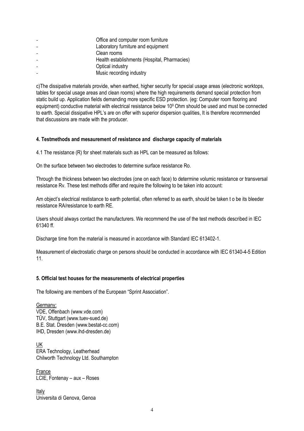| Office and computer room furniture           |
|----------------------------------------------|
| Laboratory furniture and equipment           |
| Clean rooms                                  |
| Health establishments (Hospital, Pharmacies) |
| Optical industry                             |
| Music recording industry                     |

c)The dissipative materials provide, when earthed, higher security for special usage areas (electronic worktops, tables for special usage areas and clean rooms) where the high requirements demand special protection from static build up. Application fields demanding more specific ESD protection. (eg: Computer room flooring and equipment) conductive material with electrical resistance below 10<sup>9</sup> Ohm should be used and must be connected to earth. Special dissipative HPL's are on offer with superior dispersion qualities, It is therefore recommended that discussions are made with the producer.

#### 4. Testmethods and mesaurement of resistance and discharge capacity of materials

4.1 The resistance (R) for sheet materials such as HPL can be measured as follows:

On the surface between two electrodes to determine surface resistance Ro.

Through the thickness between two electrodes (one on each face) to determine volumic resistance or transversal resistance Rv. These test methods differ and require the following to be taken into account:

Am object's electrical restistance to earth potential, often referred to as earth, should be taken t o be its bleeder resistance RA/resistance to earth RE.

Users should always contact the manufacturers. We recommend the use of the test methods described in IEC 61340 ff.

Discharge time from the material is measured in accordance with Standard IEC 613402-1.

Measurement of electrostatic charge on persons should be conducted in accordance with IEC 61340-4-5 Edition 11.

#### 5. Official test houses for the measurements of electrical properties

The following are members of the European "Sprint Association".

Germany: VDE, Offenbach (www.vde.com) TÜV, Stuttgart (www.tuev-sued.de) B.E. Stat. Dresden (www.bestat-cc.com) IHD, Dresden (www.ihd-dresden.de)

UK ERA Technology, Leatherhead Chilworth Technology Ltd. Southampton

France LCIE, Fontenay – aux – Roses

Italy Universita di Genova, Genoa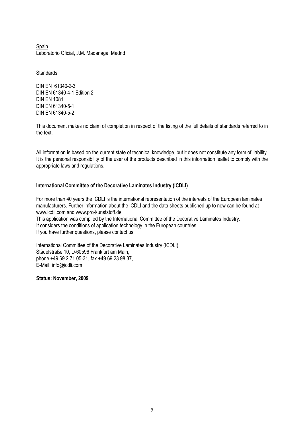Spain Laboratorio Oficial, J.M. Madariaga, Madrid

Standards:

DIN EN 61340-2-3 DIN EN 61340-4-1 Edition 2 DIN EN 1081 DIN EN 61340-5-1 DIN EN 61340-5-2

This document makes no claim of completion in respect of the listing of the full details of standards referred to in the text.

All information is based on the current state of technical knowledge, but it does not constitute any form of liability. It is the personal responsibility of the user of the products described in this information leaflet to comply with the appropriate laws and regulations.

#### International Committee of the Decorative Laminates Industry (ICDLI)

For more than 40 years the ICDLI is the international representation of the interests of the European laminates manufacturers. Further information about the ICDLI and the data sheets published up to now can be found at www.icdli.com and www.pro-kunststoff.de

This application was compiled by the International Committee of the Decorative Laminates Industry. It considers the conditions of application technology in the European countries. If you have further questions, please contact us:

International Committee of the Decorative Laminates Industry (ICDLI) Städelstraße 10, D-60596 Frankfurt am Main, phone +49 69 2 71 05-31, fax +49 69 23 98 37, E-Mail: info@icdli.com

Status: November, 2009